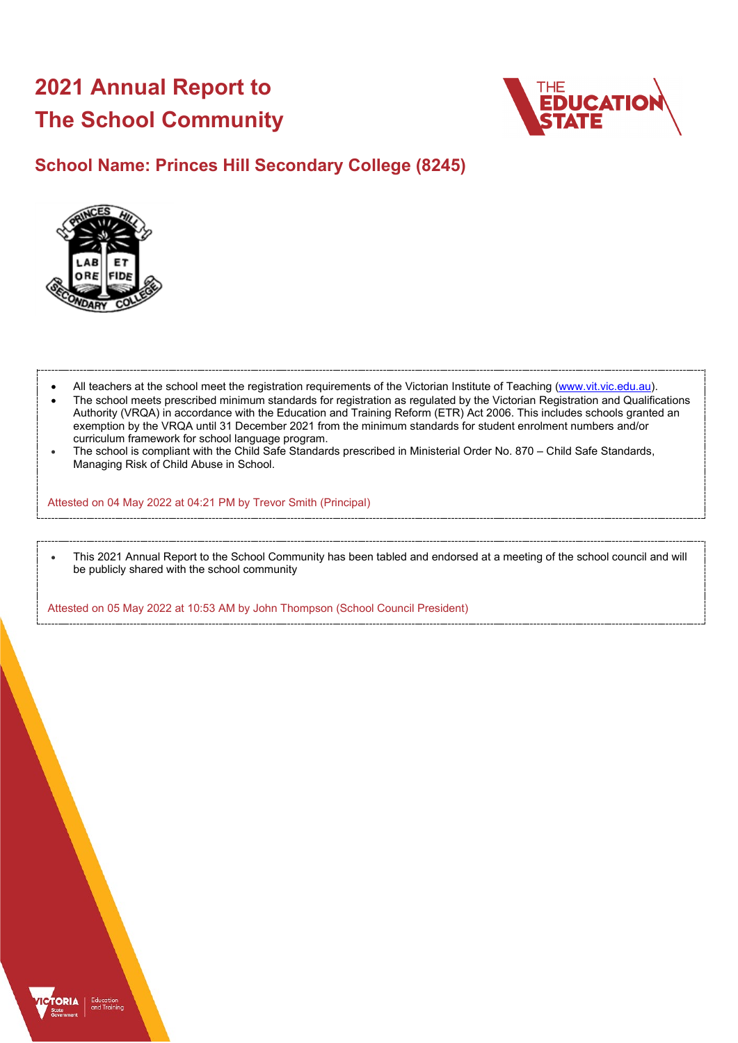# **2021 Annual Report to The School Community**



## **School Name: Princes Hill Secondary College (8245)**



- All teachers at the school meet the registration requirements of the Victorian Institute of Teaching [\(www.vit.vic.edu.au\)](https://www.vit.vic.edu.au/).
- The school meets prescribed minimum standards for registration as regulated by the Victorian Registration and Qualifications Authority (VRQA) in accordance with the Education and Training Reform (ETR) Act 2006. This includes schools granted an exemption by the VRQA until 31 December 2021 from the minimum standards for student enrolment numbers and/or curriculum framework for school language program.
- The school is compliant with the Child Safe Standards prescribed in Ministerial Order No. 870 Child Safe Standards, Managing Risk of Child Abuse in School.

Attested on 04 May 2022 at 04:21 PM by Trevor Smith (Principal)

• This 2021 Annual Report to the School Community has been tabled and endorsed at a meeting of the school council and will be publicly shared with the school community

Attested on 05 May 2022 at 10:53 AM by John Thompson (School Council President)

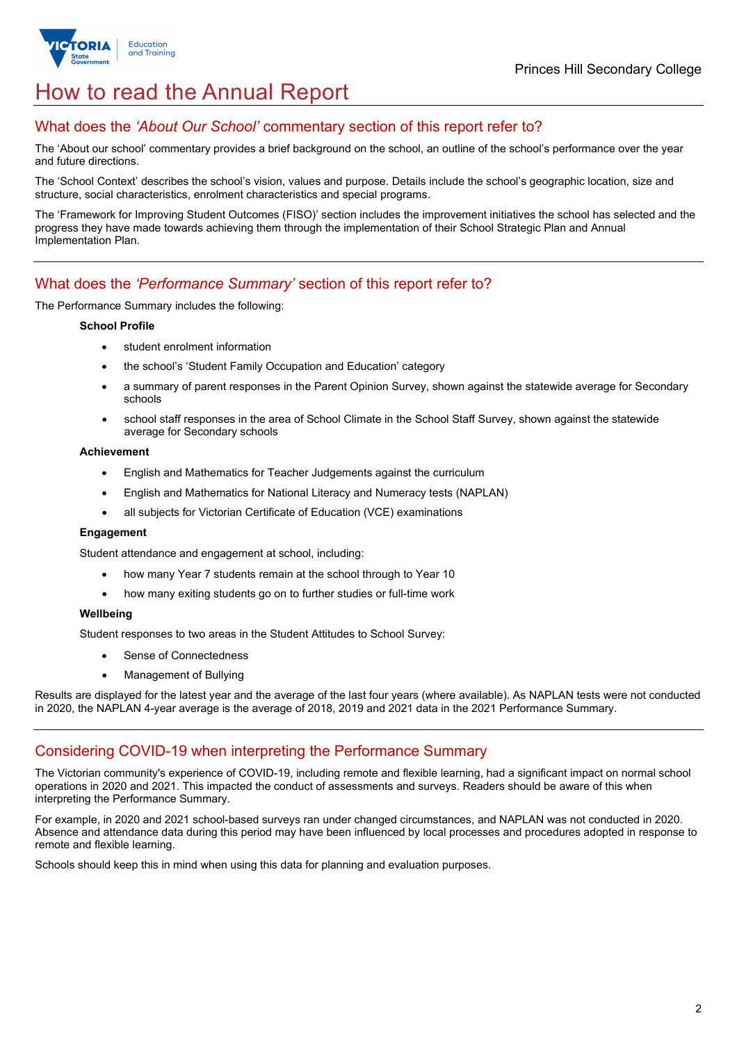

## How to read the Annual Report

### What does the *'About Our School'* commentary section of this report refer to?

The 'About our school' commentary provides a brief background on the school, an outline of the school's performance over the year and future directions.

The 'School Context' describes the school's vision, values and purpose. Details include the school's geographic location, size and structure, social characteristics, enrolment characteristics and special programs.

The 'Framework for Improving Student Outcomes (FISO)' section includes the improvement initiatives the school has selected and the progress they have made towards achieving them through the implementation of their School Strategic Plan and Annual Implementation Plan.

### What does the *'Performance Summary'* section of this report refer to?

The Performance Summary includes the following:

#### **School Profile**

- student enrolment information
- the school's 'Student Family Occupation and Education' category
- a summary of parent responses in the Parent Opinion Survey, shown against the statewide average for Secondary schools
- school staff responses in the area of School Climate in the School Staff Survey, shown against the statewide average for Secondary schools

#### **Achievement**

- English and Mathematics for Teacher Judgements against the curriculum
- English and Mathematics for National Literacy and Numeracy tests (NAPLAN)
- all subjects for Victorian Certificate of Education (VCE) examinations

#### **Engagement**

Student attendance and engagement at school, including:

- how many Year 7 students remain at the school through to Year 10
- how many exiting students go on to further studies or full-time work

#### **Wellbeing**

Student responses to two areas in the Student Attitudes to School Survey:

- Sense of Connectedness
- Management of Bullying

Results are displayed for the latest year and the average of the last four years (where available). As NAPLAN tests were not conducted in 2020, the NAPLAN 4-year average is the average of 2018, 2019 and 2021 data in the 2021 Performance Summary.

#### Considering COVID-19 when interpreting the Performance Summary

The Victorian community's experience of COVID-19, including remote and flexible learning, had a significant impact on normal school operations in 2020 and 2021. This impacted the conduct of assessments and surveys. Readers should be aware of this when interpreting the Performance Summary.

For example, in 2020 and 2021 school-based surveys ran under changed circumstances, and NAPLAN was not conducted in 2020. Absence and attendance data during this period may have been influenced by local processes and procedures adopted in response to remote and flexible learning.

Schools should keep this in mind when using this data for planning and evaluation purposes.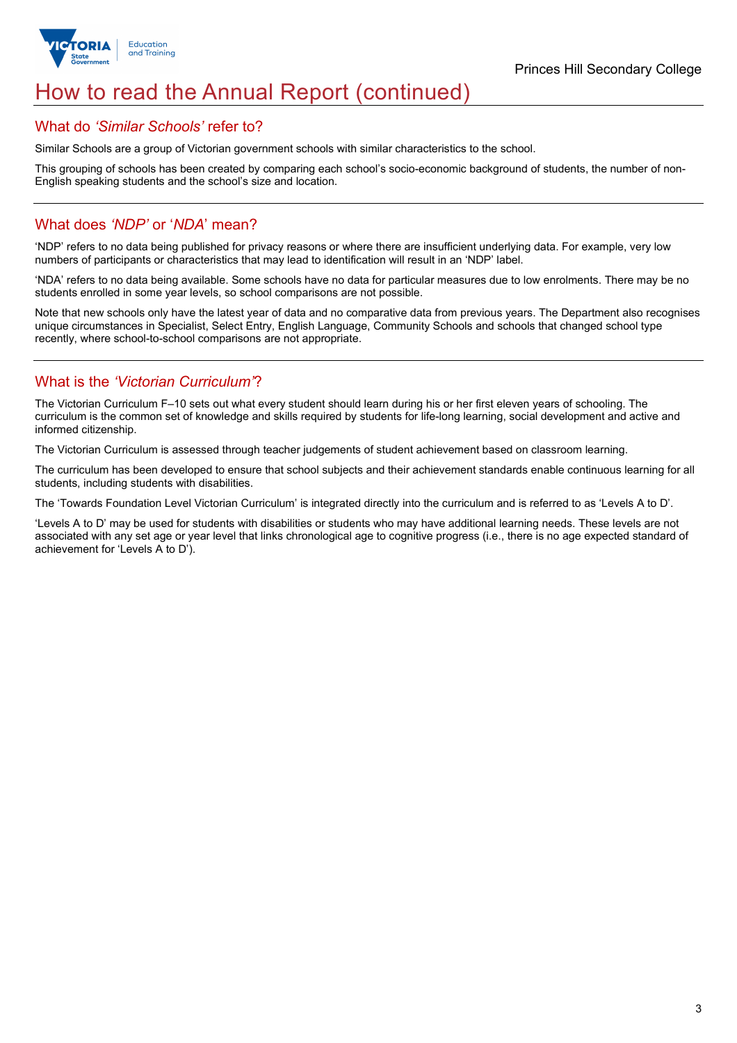

## How to read the Annual Report (continued)

#### What do *'Similar Schools'* refer to?

Similar Schools are a group of Victorian government schools with similar characteristics to the school.

This grouping of schools has been created by comparing each school's socio-economic background of students, the number of non-English speaking students and the school's size and location.

### What does *'NDP'* or '*NDA*' mean?

'NDP' refers to no data being published for privacy reasons or where there are insufficient underlying data. For example, very low numbers of participants or characteristics that may lead to identification will result in an 'NDP' label.

'NDA' refers to no data being available. Some schools have no data for particular measures due to low enrolments. There may be no students enrolled in some year levels, so school comparisons are not possible.

Note that new schools only have the latest year of data and no comparative data from previous years. The Department also recognises unique circumstances in Specialist, Select Entry, English Language, Community Schools and schools that changed school type recently, where school-to-school comparisons are not appropriate.

## What is the *'Victorian Curriculum'*?

The Victorian Curriculum F–10 sets out what every student should learn during his or her first eleven years of schooling. The curriculum is the common set of knowledge and skills required by students for life-long learning, social development and active and informed citizenship.

The Victorian Curriculum is assessed through teacher judgements of student achievement based on classroom learning.

The curriculum has been developed to ensure that school subjects and their achievement standards enable continuous learning for all students, including students with disabilities.

The 'Towards Foundation Level Victorian Curriculum' is integrated directly into the curriculum and is referred to as 'Levels A to D'.

'Levels A to D' may be used for students with disabilities or students who may have additional learning needs. These levels are not associated with any set age or year level that links chronological age to cognitive progress (i.e., there is no age expected standard of achievement for 'Levels A to D').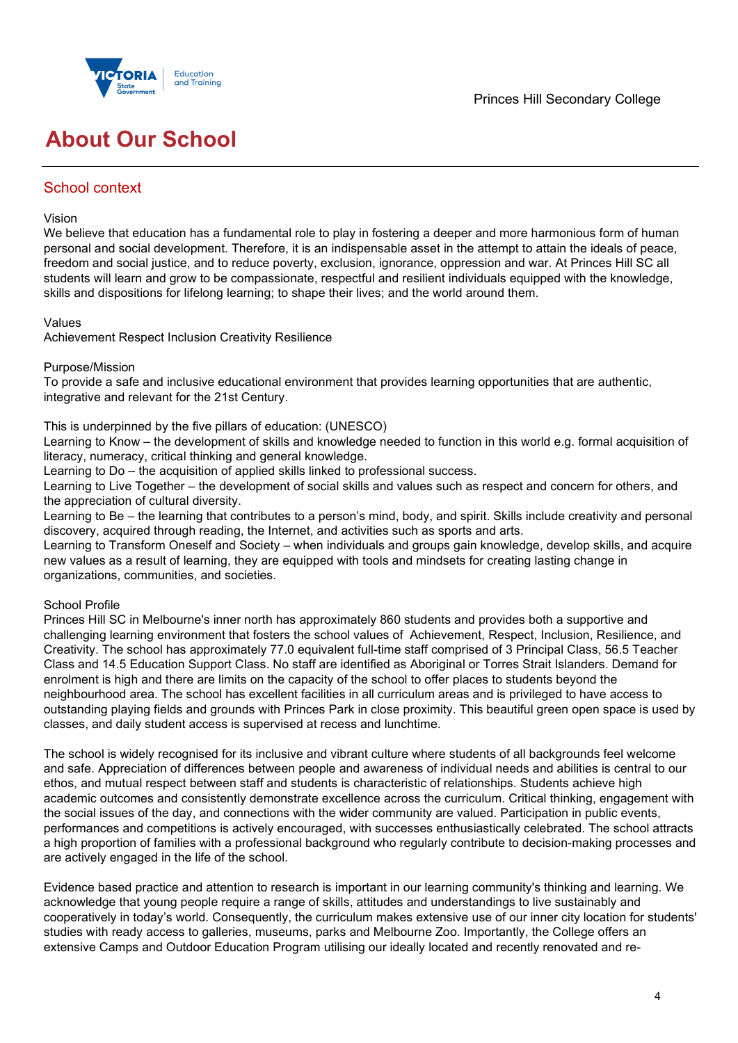



## **About Our School**

## School context

#### Vision

We believe that education has a fundamental role to play in fostering a deeper and more harmonious form of human personal and social development. Therefore, it is an indispensable asset in the attempt to attain the ideals of peace, freedom and social justice, and to reduce poverty, exclusion, ignorance, oppression and war. At Princes Hill SC all students will learn and grow to be compassionate, respectful and resilient individuals equipped with the knowledge, skills and dispositions for lifelong learning; to shape their lives; and the world around them.

#### Values

Achievement Respect Inclusion Creativity Resilience

#### Purpose/Mission

To provide a safe and inclusive educational environment that provides learning opportunities that are authentic, integrative and relevant for the 21st Century.

#### This is underpinned by the five pillars of education: (UNESCO)

Learning to Know – the development of skills and knowledge needed to function in this world e.g. formal acquisition of literacy, numeracy, critical thinking and general knowledge.

Learning to Do – the acquisition of applied skills linked to professional success.

Learning to Live Together – the development of social skills and values such as respect and concern for others, and the appreciation of cultural diversity.

Learning to Be – the learning that contributes to a person's mind, body, and spirit. Skills include creativity and personal discovery, acquired through reading, the Internet, and activities such as sports and arts.

Learning to Transform Oneself and Society – when individuals and groups gain knowledge, develop skills, and acquire new values as a result of learning, they are equipped with tools and mindsets for creating lasting change in organizations, communities, and societies.

#### School Profile

Princes Hill SC in Melbourne's inner north has approximately 860 students and provides both a supportive and challenging learning environment that fosters the school values of Achievement, Respect, Inclusion, Resilience, and Creativity. The school has approximately 77.0 equivalent full-time staff comprised of 3 Principal Class, 56.5 Teacher Class and 14.5 Education Support Class. No staff are identified as Aboriginal or Torres Strait Islanders. Demand for enrolment is high and there are limits on the capacity of the school to offer places to students beyond the neighbourhood area. The school has excellent facilities in all curriculum areas and is privileged to have access to outstanding playing fields and grounds with Princes Park in close proximity. This beautiful green open space is used by classes, and daily student access is supervised at recess and lunchtime.

The school is widely recognised for its inclusive and vibrant culture where students of all backgrounds feel welcome and safe. Appreciation of differences between people and awareness of individual needs and abilities is central to our ethos, and mutual respect between staff and students is characteristic of relationships. Students achieve high academic outcomes and consistently demonstrate excellence across the curriculum. Critical thinking, engagement with the social issues of the day, and connections with the wider community are valued. Participation in public events, performances and competitions is actively encouraged, with successes enthusiastically celebrated. The school attracts a high proportion of families with a professional background who regularly contribute to decision-making processes and are actively engaged in the life of the school.

Evidence based practice and attention to research is important in our learning community's thinking and learning. We acknowledge that young people require a range of skills, attitudes and understandings to live sustainably and cooperatively in today's world. Consequently, the curriculum makes extensive use of our inner city location for students' studies with ready access to galleries, museums, parks and Melbourne Zoo. Importantly, the College offers an extensive Camps and Outdoor Education Program utilising our ideally located and recently renovated and re-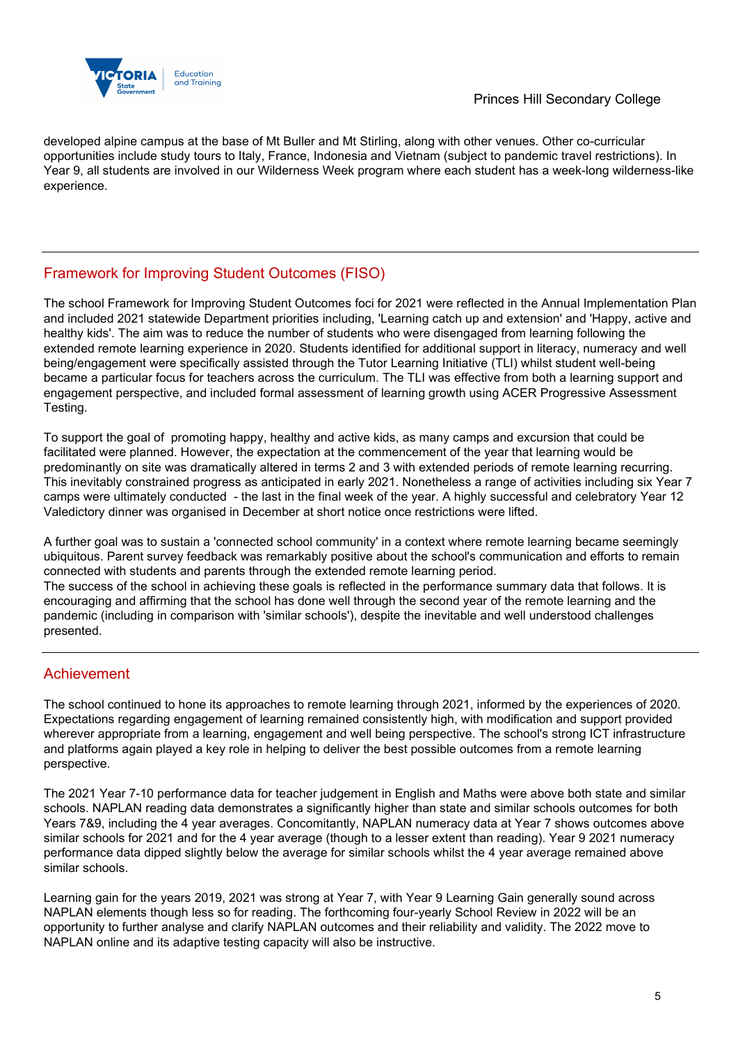

developed alpine campus at the base of Mt Buller and Mt Stirling, along with other venues. Other co-curricular opportunities include study tours to Italy, France, Indonesia and Vietnam (subject to pandemic travel restrictions). In Year 9, all students are involved in our Wilderness Week program where each student has a week-long wilderness-like experience.

## Framework for Improving Student Outcomes (FISO)

The school Framework for Improving Student Outcomes foci for 2021 were reflected in the Annual Implementation Plan and included 2021 statewide Department priorities including, 'Learning catch up and extension' and 'Happy, active and healthy kids'. The aim was to reduce the number of students who were disengaged from learning following the extended remote learning experience in 2020. Students identified for additional support in literacy, numeracy and well being/engagement were specifically assisted through the Tutor Learning Initiative (TLI) whilst student well-being became a particular focus for teachers across the curriculum. The TLI was effective from both a learning support and engagement perspective, and included formal assessment of learning growth using ACER Progressive Assessment Testing.

To support the goal of promoting happy, healthy and active kids, as many camps and excursion that could be facilitated were planned. However, the expectation at the commencement of the year that learning would be predominantly on site was dramatically altered in terms 2 and 3 with extended periods of remote learning recurring. This inevitably constrained progress as anticipated in early 2021. Nonetheless a range of activities including six Year 7 camps were ultimately conducted - the last in the final week of the year. A highly successful and celebratory Year 12 Valedictory dinner was organised in December at short notice once restrictions were lifted.

A further goal was to sustain a 'connected school community' in a context where remote learning became seemingly ubiquitous. Parent survey feedback was remarkably positive about the school's communication and efforts to remain connected with students and parents through the extended remote learning period.

The success of the school in achieving these goals is reflected in the performance summary data that follows. It is encouraging and affirming that the school has done well through the second year of the remote learning and the pandemic (including in comparison with 'similar schools'), despite the inevitable and well understood challenges presented.

## Achievement

The school continued to hone its approaches to remote learning through 2021, informed by the experiences of 2020. Expectations regarding engagement of learning remained consistently high, with modification and support provided wherever appropriate from a learning, engagement and well being perspective. The school's strong ICT infrastructure and platforms again played a key role in helping to deliver the best possible outcomes from a remote learning perspective.

The 2021 Year 7-10 performance data for teacher judgement in English and Maths were above both state and similar schools. NAPLAN reading data demonstrates a significantly higher than state and similar schools outcomes for both Years 7&9, including the 4 year averages. Concomitantly, NAPLAN numeracy data at Year 7 shows outcomes above similar schools for 2021 and for the 4 year average (though to a lesser extent than reading). Year 9 2021 numeracy performance data dipped slightly below the average for similar schools whilst the 4 year average remained above similar schools.

Learning gain for the years 2019, 2021 was strong at Year 7, with Year 9 Learning Gain generally sound across NAPLAN elements though less so for reading. The forthcoming four-yearly School Review in 2022 will be an opportunity to further analyse and clarify NAPLAN outcomes and their reliability and validity. The 2022 move to NAPLAN online and its adaptive testing capacity will also be instructive.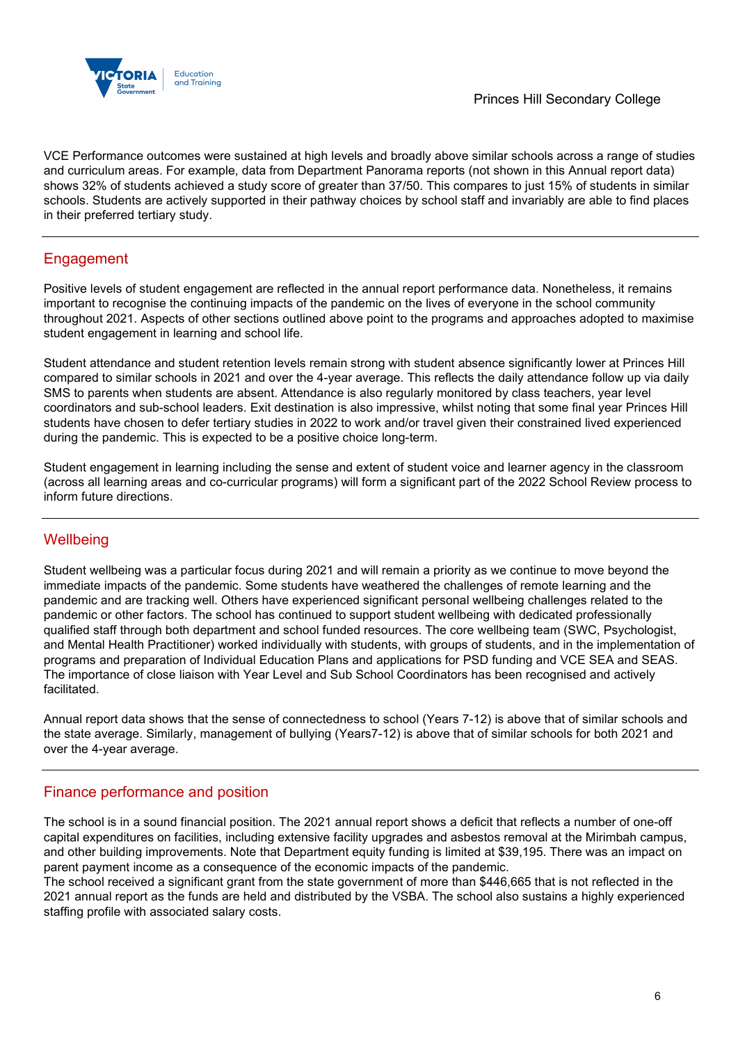

VCE Performance outcomes were sustained at high levels and broadly above similar schools across a range of studies and curriculum areas. For example, data from Department Panorama reports (not shown in this Annual report data) shows 32% of students achieved a study score of greater than 37/50. This compares to just 15% of students in similar schools. Students are actively supported in their pathway choices by school staff and invariably are able to find places in their preferred tertiary study.

## Engagement

Positive levels of student engagement are reflected in the annual report performance data. Nonetheless, it remains important to recognise the continuing impacts of the pandemic on the lives of everyone in the school community throughout 2021. Aspects of other sections outlined above point to the programs and approaches adopted to maximise student engagement in learning and school life.

Student attendance and student retention levels remain strong with student absence significantly lower at Princes Hill compared to similar schools in 2021 and over the 4-year average. This reflects the daily attendance follow up via daily SMS to parents when students are absent. Attendance is also regularly monitored by class teachers, year level coordinators and sub-school leaders. Exit destination is also impressive, whilst noting that some final year Princes Hill students have chosen to defer tertiary studies in 2022 to work and/or travel given their constrained lived experienced during the pandemic. This is expected to be a positive choice long-term.

Student engagement in learning including the sense and extent of student voice and learner agency in the classroom (across all learning areas and co-curricular programs) will form a significant part of the 2022 School Review process to inform future directions.

## **Wellbeing**

Student wellbeing was a particular focus during 2021 and will remain a priority as we continue to move beyond the immediate impacts of the pandemic. Some students have weathered the challenges of remote learning and the pandemic and are tracking well. Others have experienced significant personal wellbeing challenges related to the pandemic or other factors. The school has continued to support student wellbeing with dedicated professionally qualified staff through both department and school funded resources. The core wellbeing team (SWC, Psychologist, and Mental Health Practitioner) worked individually with students, with groups of students, and in the implementation of programs and preparation of Individual Education Plans and applications for PSD funding and VCE SEA and SEAS. The importance of close liaison with Year Level and Sub School Coordinators has been recognised and actively facilitated.

Annual report data shows that the sense of connectedness to school (Years 7-12) is above that of similar schools and the state average. Similarly, management of bullying (Years7-12) is above that of similar schools for both 2021 and over the 4-year average.

## Finance performance and position

The school is in a sound financial position. The 2021 annual report shows a deficit that reflects a number of one-off capital expenditures on facilities, including extensive facility upgrades and asbestos removal at the Mirimbah campus, and other building improvements. Note that Department equity funding is limited at \$39,195. There was an impact on parent payment income as a consequence of the economic impacts of the pandemic.

The school received a significant grant from the state government of more than \$446,665 that is not reflected in the 2021 annual report as the funds are held and distributed by the VSBA. The school also sustains a highly experienced staffing profile with associated salary costs.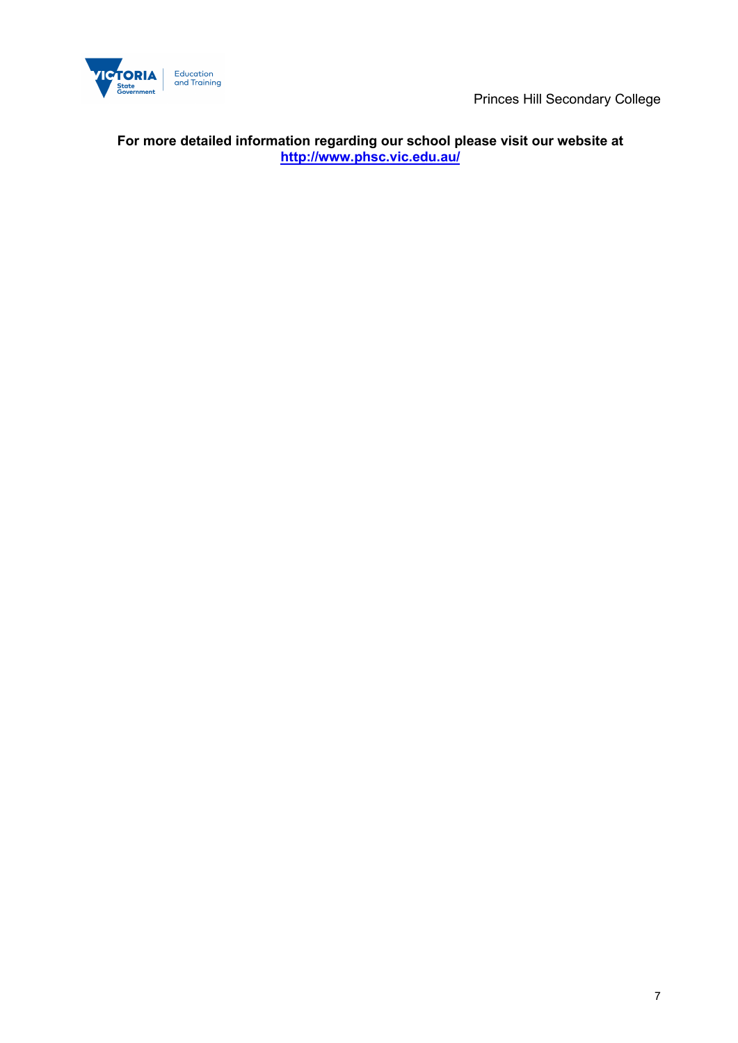

Princes Hill Secondary College

**For more detailed information regarding our school please visit our website at <http://www.phsc.vic.edu.au/>**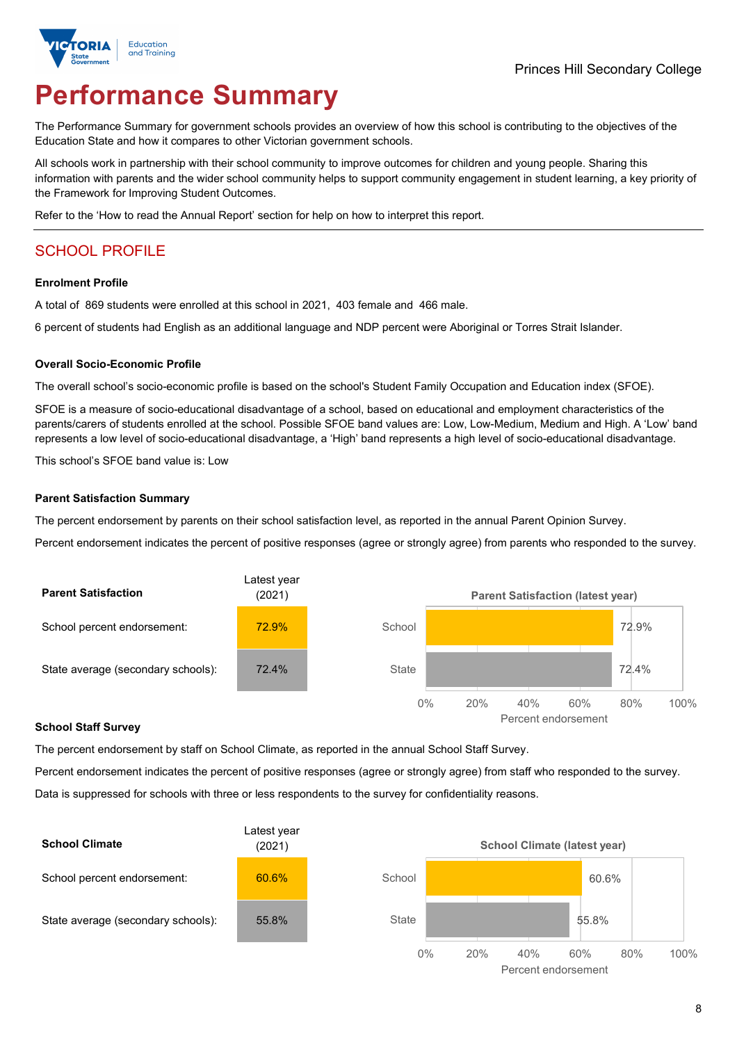

# **Performance Summary**

The Performance Summary for government schools provides an overview of how this school is contributing to the objectives of the Education State and how it compares to other Victorian government schools.

All schools work in partnership with their school community to improve outcomes for children and young people. Sharing this information with parents and the wider school community helps to support community engagement in student learning, a key priority of the Framework for Improving Student Outcomes.

Refer to the 'How to read the Annual Report' section for help on how to interpret this report.

## SCHOOL PROFILE

#### **Enrolment Profile**

A total of 869 students were enrolled at this school in 2021, 403 female and 466 male.

6 percent of students had English as an additional language and NDP percent were Aboriginal or Torres Strait Islander.

#### **Overall Socio-Economic Profile**

The overall school's socio-economic profile is based on the school's Student Family Occupation and Education index (SFOE).

SFOE is a measure of socio-educational disadvantage of a school, based on educational and employment characteristics of the parents/carers of students enrolled at the school. Possible SFOE band values are: Low, Low-Medium, Medium and High. A 'Low' band represents a low level of socio-educational disadvantage, a 'High' band represents a high level of socio-educational disadvantage.

This school's SFOE band value is: Low

#### **Parent Satisfaction Summary**

The percent endorsement by parents on their school satisfaction level, as reported in the annual Parent Opinion Survey.

Percent endorsement indicates the percent of positive responses (agree or strongly agree) from parents who responded to the survey.



#### **School Staff Survey**

The percent endorsement by staff on School Climate, as reported in the annual School Staff Survey.

Percent endorsement indicates the percent of positive responses (agree or strongly agree) from staff who responded to the survey. Data is suppressed for schools with three or less respondents to the survey for confidentiality reasons.

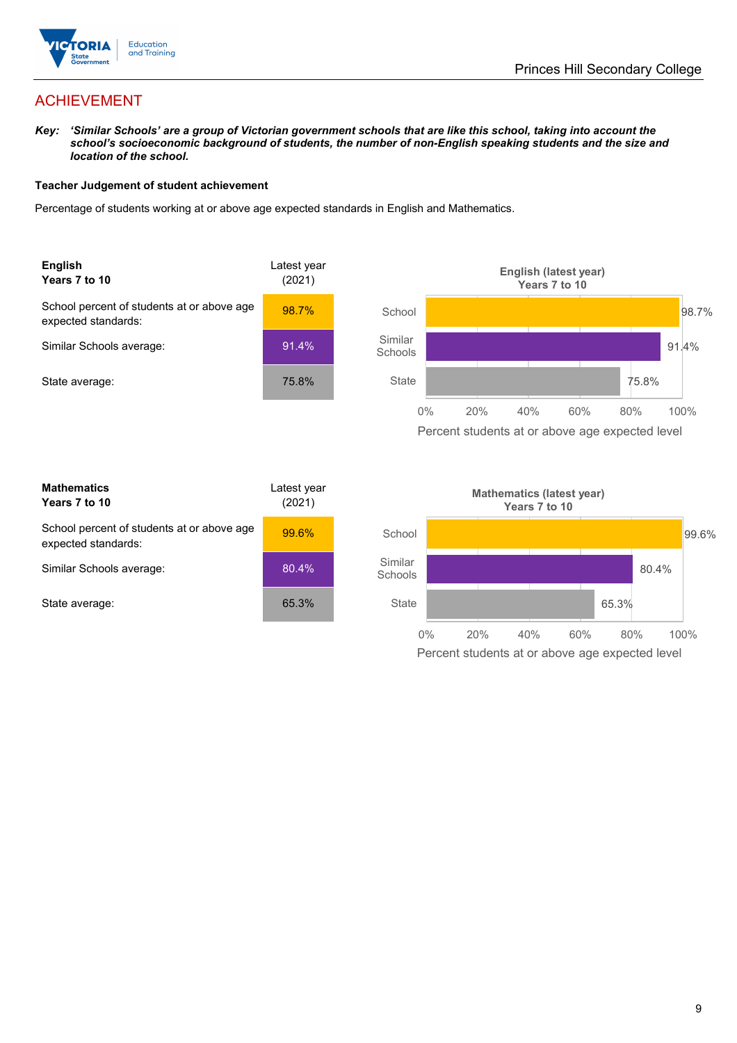

## ACHIEVEMENT

*Key: 'Similar Schools' are a group of Victorian government schools that are like this school, taking into account the school's socioeconomic background of students, the number of non-English speaking students and the size and location of the school.*

#### **Teacher Judgement of student achievement**

Percentage of students working at or above age expected standards in English and Mathematics.



| <b>Mathematics</b><br>Years 7 to 10                               | Latest year<br>(2021) |  |
|-------------------------------------------------------------------|-----------------------|--|
| School percent of students at or above age<br>expected standards: | 99.6%                 |  |
| Similar Schools average:                                          | 80.4%                 |  |
| State average:                                                    | 65.3%                 |  |

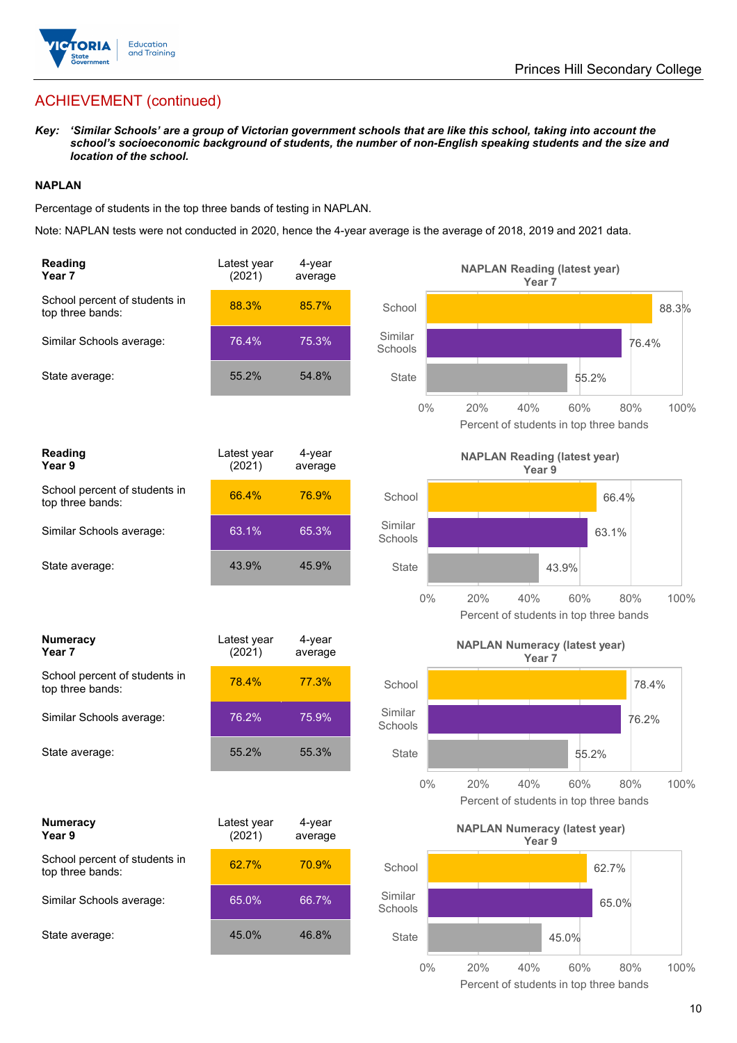

## ACHIEVEMENT (continued)

*Key: 'Similar Schools' are a group of Victorian government schools that are like this school, taking into account the school's socioeconomic background of students, the number of non-English speaking students and the size and location of the school.*

#### **NAPLAN**

Percentage of students in the top three bands of testing in NAPLAN.

Note: NAPLAN tests were not conducted in 2020, hence the 4-year average is the average of 2018, 2019 and 2021 data.

| Reading<br>Year 7                                 | Latest year<br>(2021) | 4-year<br>average |                    | <b>NAPLAN Reading (latest year)</b><br>Year <sub>7</sub>  |                                                              |
|---------------------------------------------------|-----------------------|-------------------|--------------------|-----------------------------------------------------------|--------------------------------------------------------------|
| School percent of students in<br>top three bands: | 88.3%                 | 85.7%             | School             |                                                           | 88.3%                                                        |
| Similar Schools average:                          | 76.4%                 | 75.3%             | Similar<br>Schools |                                                           | 76.4%                                                        |
| State average:                                    | 55.2%                 | 54.8%             | <b>State</b>       |                                                           | 55.2%                                                        |
|                                                   |                       |                   | $0\%$              | 20%<br>40%                                                | 60%<br>100%<br>80%<br>Percent of students in top three bands |
| Reading<br>Year 9                                 | Latest year<br>(2021) | 4-year<br>average |                    | <b>NAPLAN Reading (latest year)</b><br>Year 9             |                                                              |
| School percent of students in<br>top three bands: | 66.4%                 | 76.9%             | School             |                                                           | 66.4%                                                        |
| Similar Schools average:                          | 63.1%                 | 65.3%             | Similar<br>Schools |                                                           | 63.1%                                                        |
| State average:                                    | 43.9%                 | 45.9%             | State              |                                                           | 43.9%                                                        |
|                                                   |                       |                   | $0\%$              | 20%<br>40%                                                | 100%<br>60%<br>80%<br>Percent of students in top three bands |
| Numeracy<br>Year 7                                | Latest year<br>(2021) | 4-year<br>average |                    | <b>NAPLAN Numeracy (latest year)</b><br>Year <sub>7</sub> |                                                              |
| School percent of students in<br>top three bands: | 78.4%                 | 77.3%             | School             |                                                           | 78.4%                                                        |
| Similar Schools average:                          | 76.2%                 | 75.9%             | Similar<br>Schools |                                                           | 76.2%                                                        |
| State average:                                    | 55.2%                 | 55.3%             | <b>State</b>       |                                                           | 55.2%                                                        |
|                                                   |                       |                   | $0\%$              | 20%<br>40%                                                | 100%<br>60%<br>80%<br>Percent of students in top three bands |
| Numeracy<br>Year 9                                | Latest year<br>(2021) | 4-year<br>average |                    | <b>NAPLAN Numeracy (latest year)</b><br>Year 9            |                                                              |
| School percent of students in<br>top three bands: | 62.7%                 | 70.9%             | School             |                                                           | 62.7%                                                        |
| Similar Schools average:                          | 65.0%                 | 66.7%             | Similar<br>Schools |                                                           | 65.0%                                                        |
| State average:                                    | 45.0%                 | 46.8%             | State              |                                                           | 45.0%                                                        |
|                                                   |                       |                   | $0\%$              | 20%<br>40%                                                | 80%<br>60%<br>100%                                           |

Percent of students in top three bands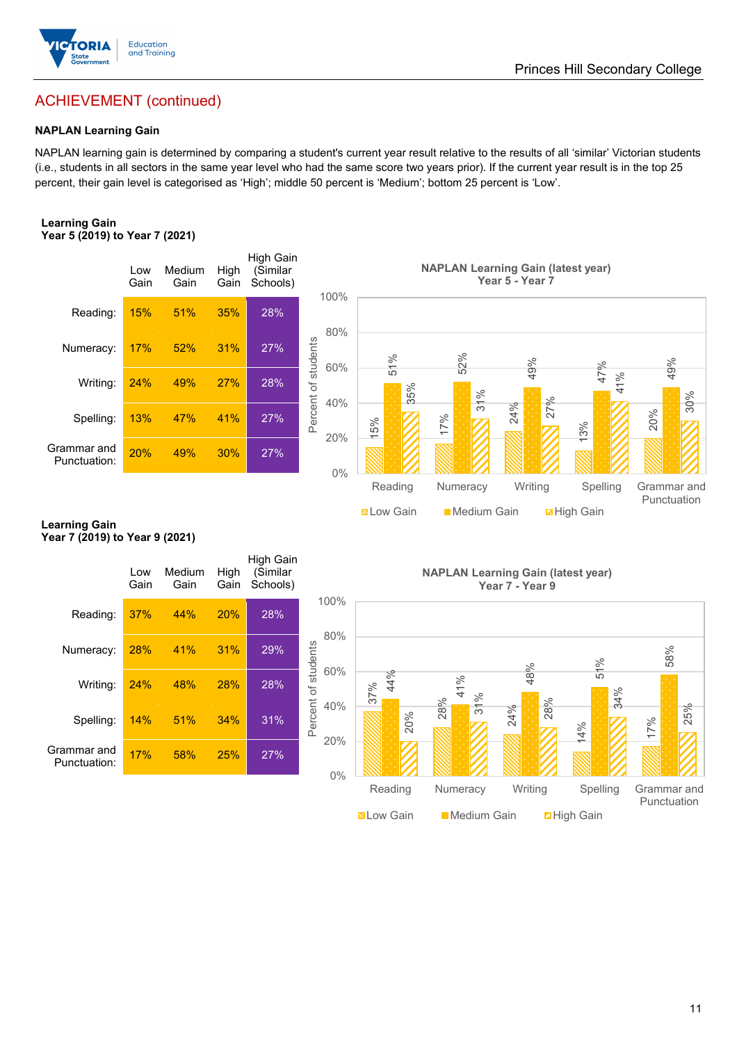

## ACHIEVEMENT (continued)

#### **NAPLAN Learning Gain**

NAPLAN learning gain is determined by comparing a student's current year result relative to the results of all 'similar' Victorian students (i.e., students in all sectors in the same year level who had the same score two years prior). If the current year result is in the top 25 percent, their gain level is categorised as 'High'; middle 50 percent is 'Medium'; bottom 25 percent is 'Low'.

#### **Learning Gain Year 5 (2019) to Year 7 (2021)**



#### **Learning Gain Year 7 (2019) to Year 9 (2021)**

|                             | Low<br>Gain | Medium<br>Gain | High<br>Gain | High Gain<br>(Similar<br>Schools) |                            |     |
|-----------------------------|-------------|----------------|--------------|-----------------------------------|----------------------------|-----|
| Reading:                    | 37%         | 44%            | 20%          | 28%                               | 100%                       |     |
| Numeracy:                   | 28%         | 41%            | 31%          | 29%                               | 80%                        |     |
| Writing:                    | 24%         | 48%            | 28%          | 28%                               | Percent of students<br>60% | 37% |
| Spelling:                   | 14%         | 51%            | 34%          | 31%                               | 40%                        |     |
| Grammar and<br>Punctuation: | 17%         | 58%            | 25%          | 27%                               | 20%                        |     |
|                             |             |                |              |                                   | 0%                         |     |

**NAPLAN Learning Gain (latest year) Year 7 - Year 9**

**Now Gain** Medium Gain **Election** Gain

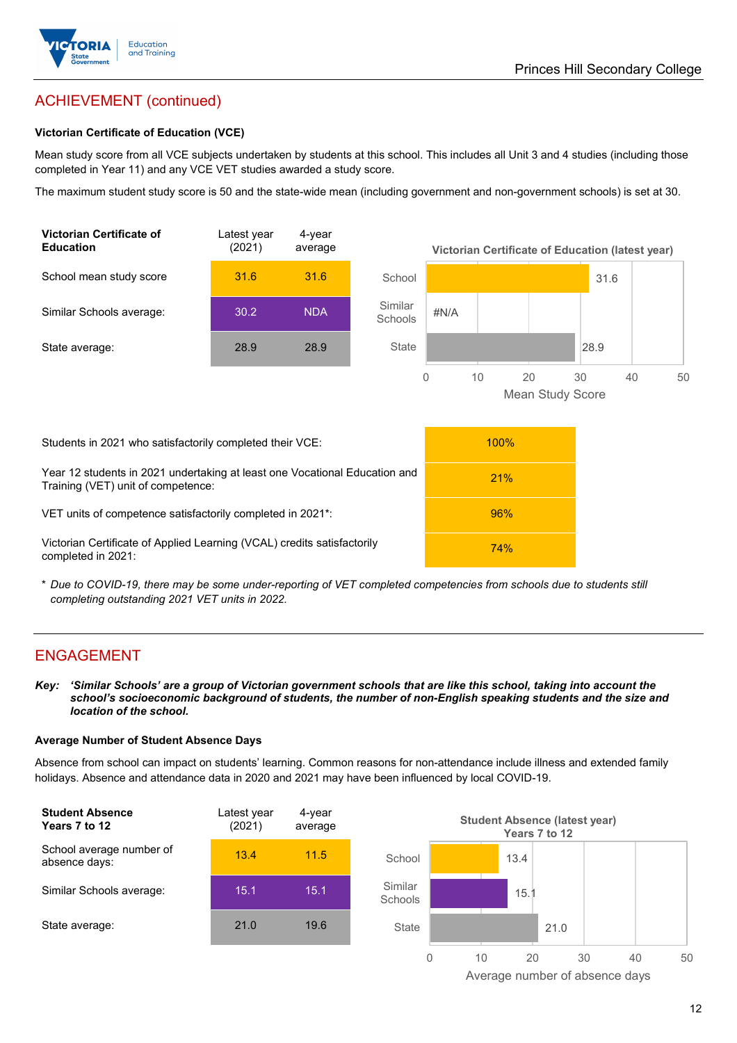

## ACHIEVEMENT (continued)

#### **Victorian Certificate of Education (VCE)**

Mean study score from all VCE subjects undertaken by students at this school. This includes all Unit 3 and 4 studies (including those completed in Year 11) and any VCE VET studies awarded a study score.

The maximum student study score is 50 and the state-wide mean (including government and non-government schools) is set at 30.



\* *Due to COVID-19, there may be some under-reporting of VET completed competencies from schools due to students still completing outstanding 2021 VET units in 2022.*

#### ENGAGEMENT

*Key: 'Similar Schools' are a group of Victorian government schools that are like this school, taking into account the school's socioeconomic background of students, the number of non-English speaking students and the size and location of the school.*

#### **Average Number of Student Absence Days**

Absence from school can impact on students' learning. Common reasons for non-attendance include illness and extended family holidays. Absence and attendance data in 2020 and 2021 may have been influenced by local COVID-19.



Average number of absence days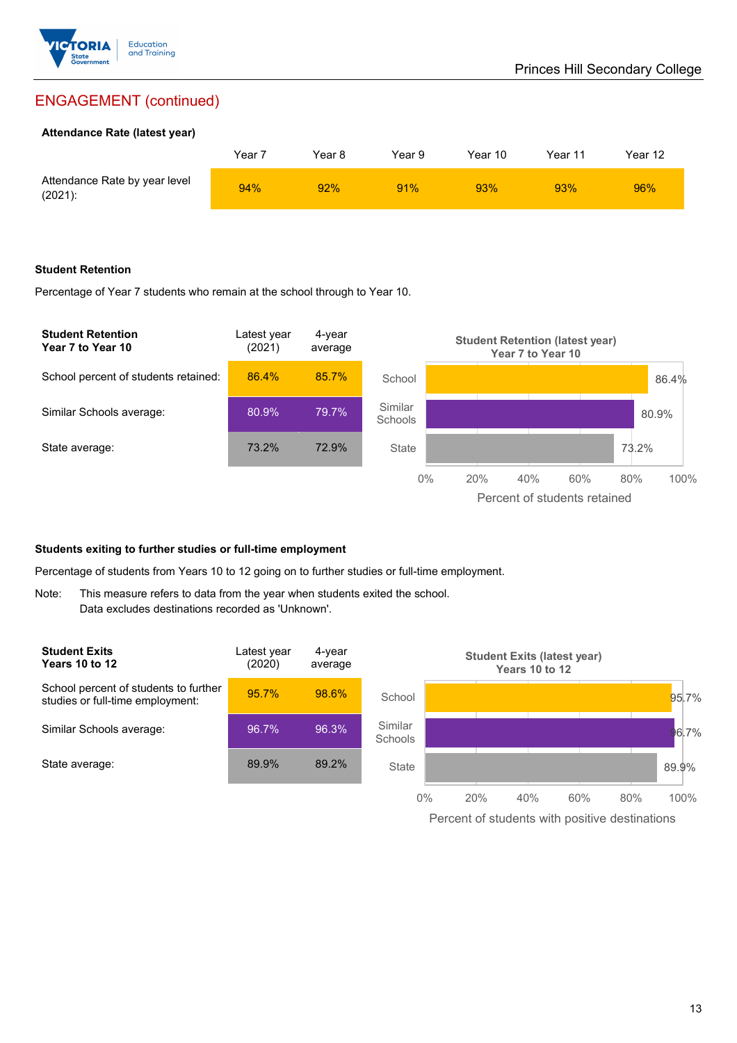

## ENGAGEMENT (continued)

#### **Attendance Rate (latest year)**

|                                             | Yeari | Year 8 | Year 9 | Year 10 | Year 11 | Year 12 |
|---------------------------------------------|-------|--------|--------|---------|---------|---------|
| Attendance Rate by year level<br>$(2021)$ : | 94%   | 92%    | 91%    | 93%     | 93%     | 96%     |

#### **Student Retention**

Percentage of Year 7 students who remain at the school through to Year 10.



#### **Students exiting to further studies or full-time employment**

Percentage of students from Years 10 to 12 going on to further studies or full-time employment.

Note: This measure refers to data from the year when students exited the school. Data excludes destinations recorded as 'Unknown'.



Percent of students with positive destinations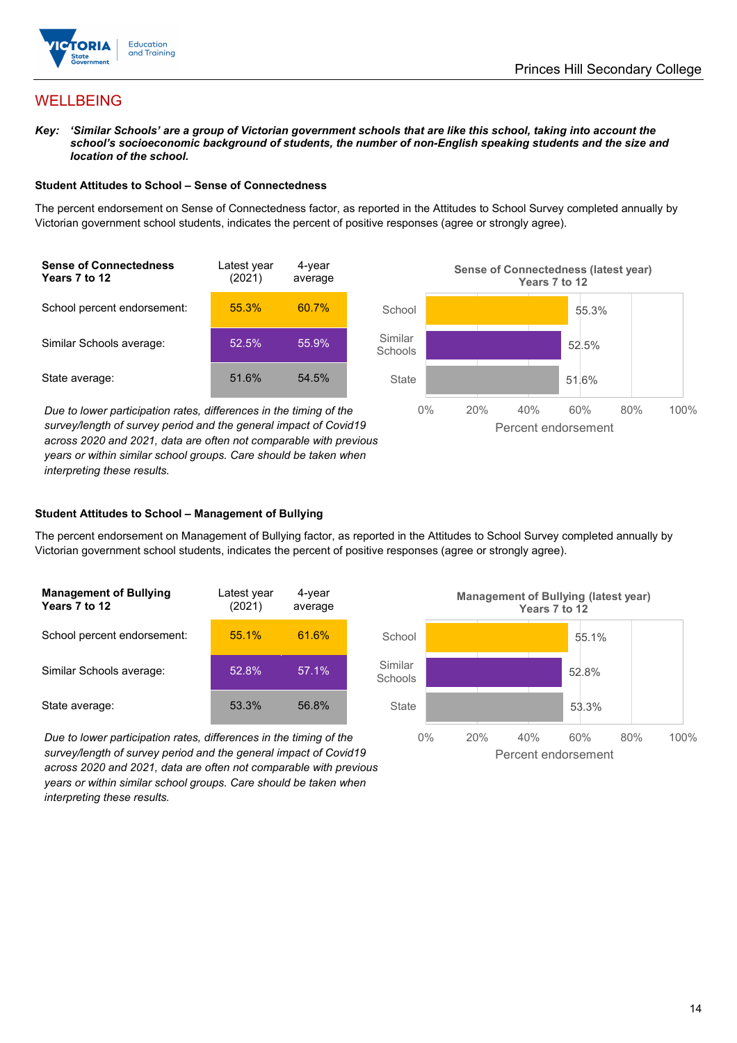



## WELLBEING

*Key: 'Similar Schools' are a group of Victorian government schools that are like this school, taking into account the school's socioeconomic background of students, the number of non-English speaking students and the size and location of the school.*

#### **Student Attitudes to School – Sense of Connectedness**

The percent endorsement on Sense of Connectedness factor, as reported in the Attitudes to School Survey completed annually by Victorian government school students, indicates the percent of positive responses (agree or strongly agree).



*Due to lower participation rates, differences in the timing of the survey/length of survey period and the general impact of Covid19 across 2020 and 2021, data are often not comparable with previous years or within similar school groups. Care should be taken when interpreting these results.*



#### **Student Attitudes to School – Management of Bullying**

The percent endorsement on Management of Bullying factor, as reported in the Attitudes to School Survey completed annually by Victorian government school students, indicates the percent of positive responses (agree or strongly agree).

| <b>Management of Bullying</b><br>Years 7 to 12 | Latest year<br>(2021) | 4-year<br>average |  |
|------------------------------------------------|-----------------------|-------------------|--|
| School percent endorsement:                    | 55.1%                 | 61.6%             |  |
| Similar Schools average:                       | 52.8%                 | 57.1%             |  |
| State average:                                 | 53.3%                 | 56.8%             |  |

*Due to lower participation rates, differences in the timing of the survey/length of survey period and the general impact of Covid19 across 2020 and 2021, data are often not comparable with previous years or within similar school groups. Care should be taken when interpreting these results.*

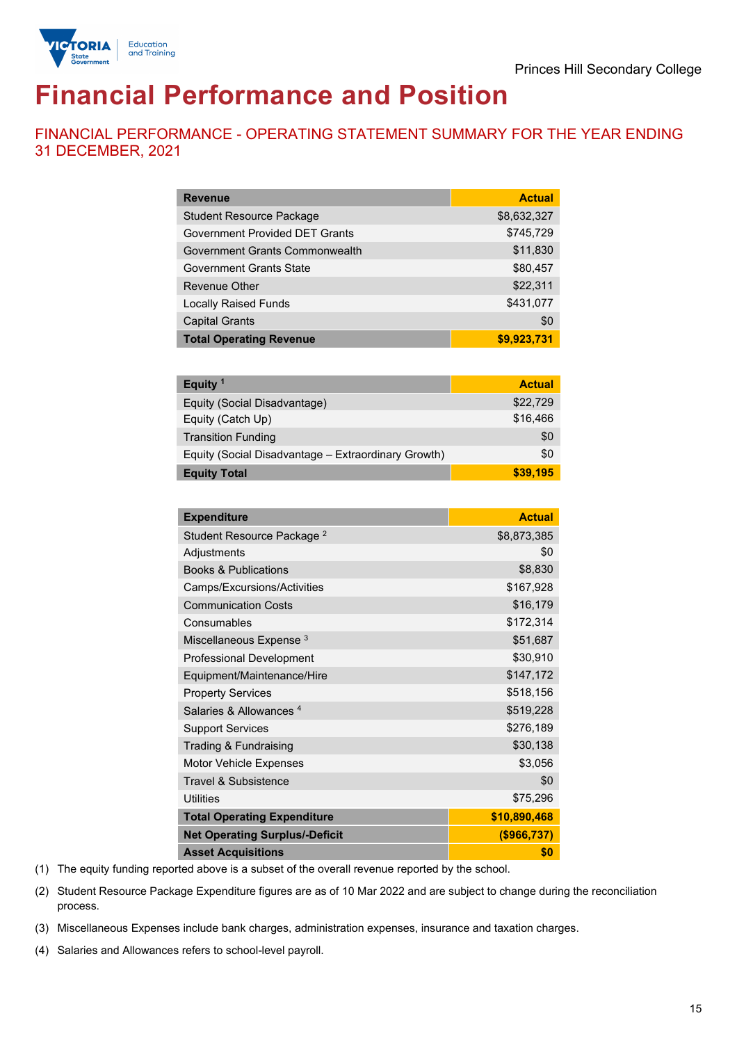

# **Financial Performance and Position**

FINANCIAL PERFORMANCE - OPERATING STATEMENT SUMMARY FOR THE YEAR ENDING 31 DECEMBER, 2021

| <b>Revenue</b>                        | <b>Actual</b> |
|---------------------------------------|---------------|
| <b>Student Resource Package</b>       | \$8,632,327   |
| <b>Government Provided DET Grants</b> | \$745,729     |
| Government Grants Commonwealth        | \$11,830      |
| <b>Government Grants State</b>        | \$80,457      |
| <b>Revenue Other</b>                  | \$22,311      |
| <b>Locally Raised Funds</b>           | \$431,077     |
| <b>Capital Grants</b>                 | \$0           |
| <b>Total Operating Revenue</b>        | \$9,923,731   |

| Equity <sup>1</sup>                                 | <b>Actual</b> |
|-----------------------------------------------------|---------------|
| Equity (Social Disadvantage)                        | \$22,729      |
| Equity (Catch Up)                                   | \$16,466      |
| <b>Transition Funding</b>                           | \$0           |
| Equity (Social Disadvantage – Extraordinary Growth) | \$0           |
| <b>Equity Total</b>                                 | \$39,195      |

| <b>Expenditure</b>                    | <b>Actual</b> |
|---------------------------------------|---------------|
| Student Resource Package <sup>2</sup> | \$8,873,385   |
| Adjustments                           | \$0           |
| <b>Books &amp; Publications</b>       | \$8,830       |
| Camps/Excursions/Activities           | \$167,928     |
| <b>Communication Costs</b>            | \$16,179      |
| Consumables                           | \$172,314     |
| Miscellaneous Expense <sup>3</sup>    | \$51,687      |
| <b>Professional Development</b>       | \$30,910      |
| Equipment/Maintenance/Hire            | \$147,172     |
| <b>Property Services</b>              | \$518,156     |
| Salaries & Allowances <sup>4</sup>    | \$519,228     |
| <b>Support Services</b>               | \$276,189     |
| Trading & Fundraising                 | \$30,138      |
| Motor Vehicle Expenses                | \$3,056       |
| Travel & Subsistence                  | \$0           |
| <b>Utilities</b>                      | \$75,296      |
| <b>Total Operating Expenditure</b>    | \$10,890,468  |
| <b>Net Operating Surplus/-Deficit</b> | ( \$966, 737) |
| <b>Asset Acquisitions</b>             | \$0           |

(1) The equity funding reported above is a subset of the overall revenue reported by the school.

(2) Student Resource Package Expenditure figures are as of 10 Mar 2022 and are subject to change during the reconciliation process.

(3) Miscellaneous Expenses include bank charges, administration expenses, insurance and taxation charges.

(4) Salaries and Allowances refers to school-level payroll.